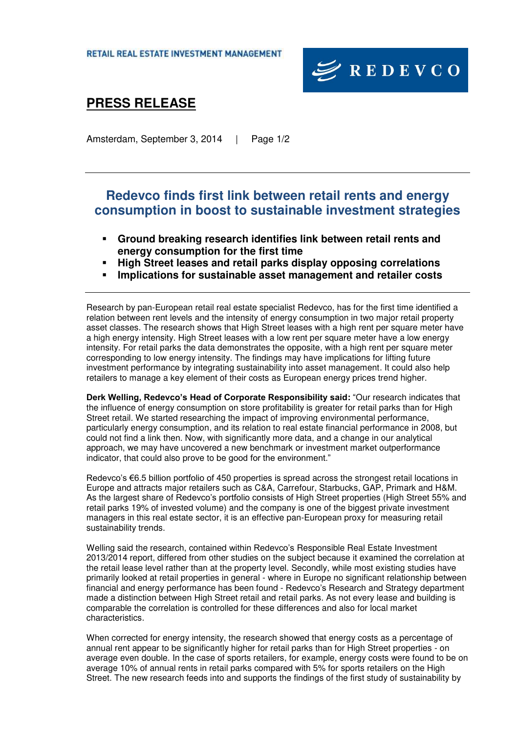

## **PRESS RELEASE**

Amsterdam, September 3, 2014 | Page 1/2

### **Redevco finds first link between retail rents and energy consumption in boost to sustainable investment strategies**

- **Ground breaking research identifies link between retail rents and energy consumption for the first time**
- **High Street leases and retail parks display opposing correlations**
- **Implications for sustainable asset management and retailer costs**

Research by pan-European retail real estate specialist Redevco, has for the first time identified a relation between rent levels and the intensity of energy consumption in two major retail property asset classes. The research shows that High Street leases with a high rent per square meter have a high energy intensity. High Street leases with a low rent per square meter have a low energy intensity. For retail parks the data demonstrates the opposite, with a high rent per square meter corresponding to low energy intensity. The findings may have implications for lifting future investment performance by integrating sustainability into asset management. It could also help retailers to manage a key element of their costs as European energy prices trend higher.

**Derk Welling, Redevco's Head of Corporate Responsibility said:** "Our research indicates that the influence of energy consumption on store profitability is greater for retail parks than for High Street retail. We started researching the impact of improving environmental performance, particularly energy consumption, and its relation to real estate financial performance in 2008, but could not find a link then. Now, with significantly more data, and a change in our analytical approach, we may have uncovered a new benchmark or investment market outperformance indicator, that could also prove to be good for the environment."

Redevco's €6.5 billion portfolio of 450 properties is spread across the strongest retail locations in Europe and attracts major retailers such as C&A, Carrefour, Starbucks, GAP, Primark and H&M. As the largest share of Redevco's portfolio consists of High Street properties (High Street 55% and retail parks 19% of invested volume) and the company is one of the biggest private investment managers in this real estate sector, it is an effective pan-European proxy for measuring retail sustainability trends.

Welling said the research, contained within Redevco's Responsible Real Estate Investment 2013/2014 report, differed from other studies on the subject because it examined the correlation at the retail lease level rather than at the property level. Secondly, while most existing studies have primarily looked at retail properties in general - where in Europe no significant relationship between financial and energy performance has been found - Redevco's Research and Strategy department made a distinction between High Street retail and retail parks. As not every lease and building is comparable the correlation is controlled for these differences and also for local market characteristics.

When corrected for energy intensity, the research showed that energy costs as a percentage of annual rent appear to be significantly higher for retail parks than for High Street properties - on average even double. In the case of sports retailers, for example, energy costs were found to be on average 10% of annual rents in retail parks compared with 5% for sports retailers on the High Street. The new research feeds into and supports the findings of the first study of sustainability by